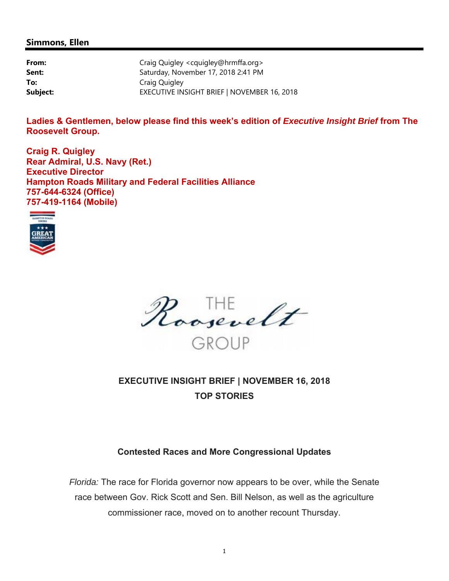### **Simmons, Ellen**

| From:    | Craig Quigley <cquigley@hrmffa.org></cquigley@hrmffa.org> |
|----------|-----------------------------------------------------------|
| Sent:    | Saturday, November 17, 2018 2:41 PM                       |
| To:      | Craig Quigley                                             |
| Subject: | EXECUTIVE INSIGHT BRIEF   NOVEMBER 16, 2018               |

**Ladies & Gentlemen, below please find this week's edition of** *Executive Insight Brief* **from The Roosevelt Group.** 

**Craig R. Quigley Rear Admiral, U.S. Navy (Ret.) Executive Director Hampton Roads Military and Federal Facilities Alliance 757-644-6324 (Office) 757-419-1164 (Mobile)** 





# **EXECUTIVE INSIGHT BRIEF | NOVEMBER 16, 2018 TOP STORIES**

# **Contested Races and More Congressional Updates**

*Florida:* The race for Florida governor now appears to be over, while the Senate race between Gov. Rick Scott and Sen. Bill Nelson, as well as the agriculture commissioner race, moved on to another recount Thursday.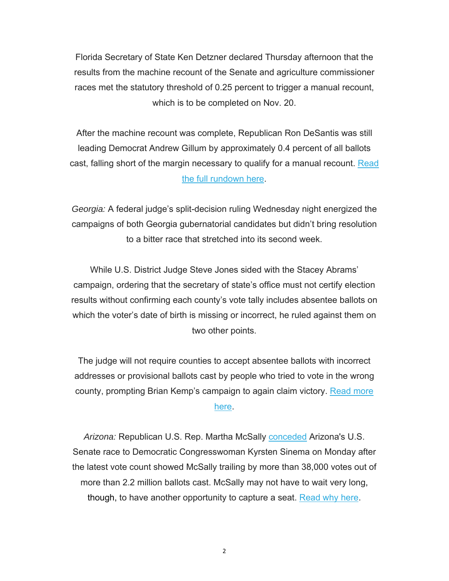Florida Secretary of State Ken Detzner declared Thursday afternoon that the results from the machine recount of the Senate and agriculture commissioner races met the statutory threshold of 0.25 percent to trigger a manual recount, which is to be completed on Nov. 20.

After the machine recount was complete, Republican Ron DeSantis was still leading Democrat Andrew Gillum by approximately 0.4 percent of all ballots cast, falling short of the margin necessary to qualify for a manual recount. Read the full rundown here.

*Georgia:* A federal judge's split-decision ruling Wednesday night energized the campaigns of both Georgia gubernatorial candidates but didn't bring resolution to a bitter race that stretched into its second week.

While U.S. District Judge Steve Jones sided with the Stacey Abrams' campaign, ordering that the secretary of state's office must not certify election results without confirming each county's vote tally includes absentee ballots on which the voter's date of birth is missing or incorrect, he ruled against them on two other points.

The judge will not require counties to accept absentee ballots with incorrect addresses or provisional ballots cast by people who tried to vote in the wrong county, prompting Brian Kemp's campaign to again claim victory. Read more here.

*Arizona:* Republican U.S. Rep. Martha McSally conceded Arizona's U.S. Senate race to Democratic Congresswoman Kyrsten Sinema on Monday after the latest vote count showed McSally trailing by more than 38,000 votes out of more than 2.2 million ballots cast. McSally may not have to wait very long, though, to have another opportunity to capture a seat. Read why here.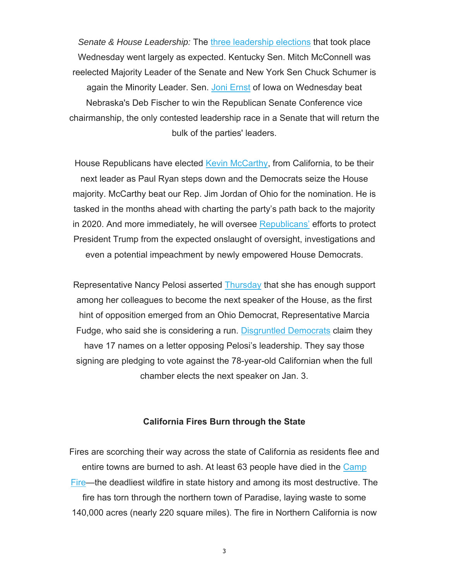*Senate & House Leadership:* The three leadership elections that took place Wednesday went largely as expected. Kentucky Sen. Mitch McConnell was reelected Majority Leader of the Senate and New York Sen Chuck Schumer is again the Minority Leader. Sen. Joni Ernst of Iowa on Wednesday beat Nebraska's Deb Fischer to win the Republican Senate Conference vice chairmanship, the only contested leadership race in a Senate that will return the bulk of the parties' leaders.

House Republicans have elected Kevin McCarthy, from California, to be their next leader as Paul Ryan steps down and the Democrats seize the House majority. McCarthy beat our Rep. Jim Jordan of Ohio for the nomination. He is tasked in the months ahead with charting the party's path back to the majority in 2020. And more immediately, he will oversee Republicans' efforts to protect President Trump from the expected onslaught of oversight, investigations and even a potential impeachment by newly empowered House Democrats.

Representative Nancy Pelosi asserted Thursday that she has enough support among her colleagues to become the next speaker of the House, as the first hint of opposition emerged from an Ohio Democrat, Representative Marcia Fudge, who said she is considering a run. Disgruntled Democrats claim they have 17 names on a letter opposing Pelosi's leadership. They say those signing are pledging to vote against the 78-year-old Californian when the full chamber elects the next speaker on Jan. 3.

#### **California Fires Burn through the State**

Fires are scorching their way across the state of California as residents flee and entire towns are burned to ash. At least 63 people have died in the Camp Fire—the deadliest wildfire in state history and among its most destructive. The fire has torn through the northern town of Paradise, laying waste to some 140,000 acres (nearly 220 square miles). The fire in Northern California is now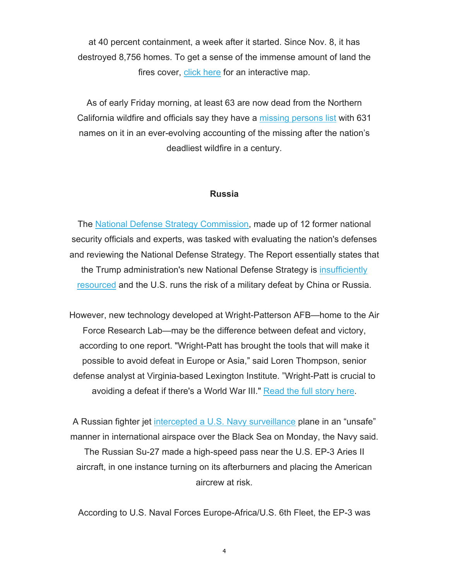at 40 percent containment, a week after it started. Since Nov. 8, it has destroyed 8,756 homes. To get a sense of the immense amount of land the fires cover, click here for an interactive map.

As of early Friday morning, at least 63 are now dead from the Northern California wildfire and officials say they have a missing persons list with 631 names on it in an ever-evolving accounting of the missing after the nation's deadliest wildfire in a century.

### **Russia**

The National Defense Strategy Commission, made up of 12 former national security officials and experts, was tasked with evaluating the nation's defenses and reviewing the National Defense Strategy. The Report essentially states that the Trump administration's new National Defense Strategy is insufficiently resourced and the U.S. runs the risk of a military defeat by China or Russia.

However, new technology developed at Wright-Patterson AFB—home to the Air Force Research Lab—may be the difference between defeat and victory, according to one report. "Wright-Patt has brought the tools that will make it possible to avoid defeat in Europe or Asia," said Loren Thompson, senior defense analyst at Virginia-based Lexington Institute. "Wright-Patt is crucial to avoiding a defeat if there's a World War III." Read the full story here.

A Russian fighter jet intercepted a U.S. Navy surveillance plane in an "unsafe" manner in international airspace over the Black Sea on Monday, the Navy said. The Russian Su-27 made a high-speed pass near the U.S. EP-3 Aries II aircraft, in one instance turning on its afterburners and placing the American

aircrew at risk.

According to U.S. Naval Forces Europe-Africa/U.S. 6th Fleet, the EP-3 was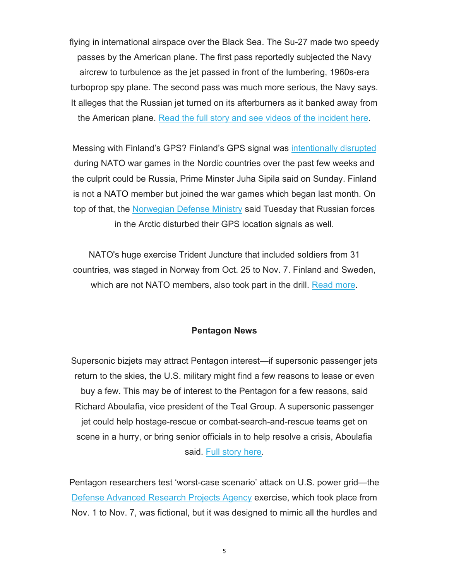flying in international airspace over the Black Sea. The Su-27 made two speedy passes by the American plane. The first pass reportedly subjected the Navy aircrew to turbulence as the jet passed in front of the lumbering, 1960s-era turboprop spy plane. The second pass was much more serious, the Navy says. It alleges that the Russian jet turned on its afterburners as it banked away from the American plane. Read the full story and see videos of the incident here.

Messing with Finland's GPS? Finland's GPS signal was intentionally disrupted during NATO war games in the Nordic countries over the past few weeks and the culprit could be Russia, Prime Minster Juha Sipila said on Sunday. Finland is not a NATO member but joined the war games which began last month. On top of that, the Norwegian Defense Ministry said Tuesday that Russian forces in the Arctic disturbed their GPS location signals as well.

NATO's huge exercise Trident Juncture that included soldiers from 31 countries, was staged in Norway from Oct. 25 to Nov. 7. Finland and Sweden, which are not NATO members, also took part in the drill. Read more.

### **Pentagon News**

Supersonic bizjets may attract Pentagon interest—if supersonic passenger jets return to the skies, the U.S. military might find a few reasons to lease or even buy a few. This may be of interest to the Pentagon for a few reasons, said Richard Aboulafia, vice president of the Teal Group. A supersonic passenger jet could help hostage-rescue or combat-search-and-rescue teams get on scene in a hurry, or bring senior officials in to help resolve a crisis, Aboulafia said. Full story here.

Pentagon researchers test 'worst-case scenario' attack on U.S. power grid—the Defense Advanced Research Projects Agency exercise, which took place from Nov. 1 to Nov. 7, was fictional, but it was designed to mimic all the hurdles and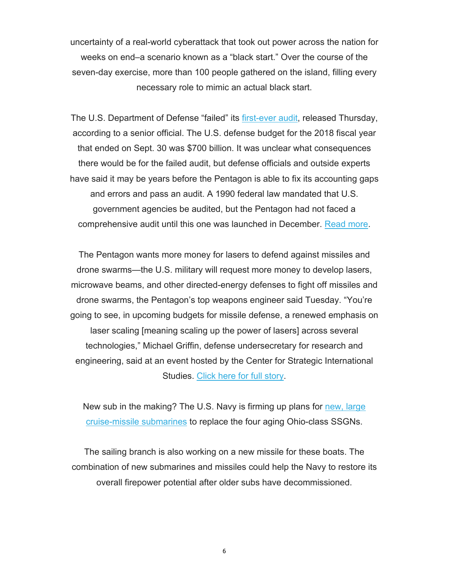uncertainty of a real-world cyberattack that took out power across the nation for weeks on end–a scenario known as a "black start." Over the course of the seven-day exercise, more than 100 people gathered on the island, filling every necessary role to mimic an actual black start.

The U.S. Department of Defense "failed" its first-ever audit, released Thursday, according to a senior official. The U.S. defense budget for the 2018 fiscal year that ended on Sept. 30 was \$700 billion. It was unclear what consequences there would be for the failed audit, but defense officials and outside experts have said it may be years before the Pentagon is able to fix its accounting gaps and errors and pass an audit. A 1990 federal law mandated that U.S. government agencies be audited, but the Pentagon had not faced a comprehensive audit until this one was launched in December. Read more.

The Pentagon wants more money for lasers to defend against missiles and drone swarms—the U.S. military will request more money to develop lasers, microwave beams, and other directed-energy defenses to fight off missiles and drone swarms, the Pentagon's top weapons engineer said Tuesday. "You're going to see, in upcoming budgets for missile defense, a renewed emphasis on laser scaling [meaning scaling up the power of lasers] across several technologies," Michael Griffin, defense undersecretary for research and engineering, said at an event hosted by the Center for Strategic International Studies. Click here for full story.

New sub in the making? The U.S. Navy is firming up plans for new, large cruise-missile submarines to replace the four aging Ohio-class SSGNs.

The sailing branch is also working on a new missile for these boats. The combination of new submarines and missiles could help the Navy to restore its overall firepower potential after older subs have decommissioned.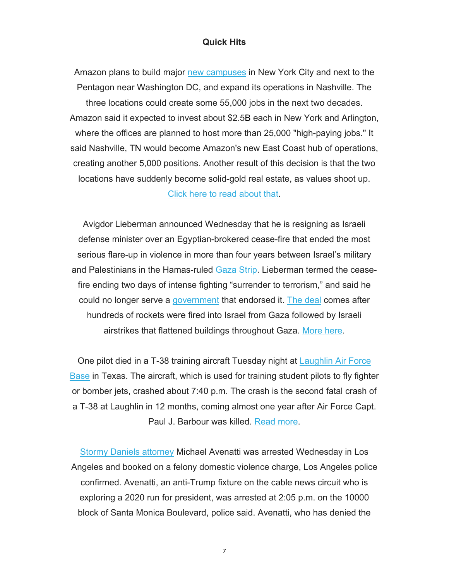### **Quick Hits**

Amazon plans to build major new campuses in New York City and next to the Pentagon near Washington DC, and expand its operations in Nashville. The three locations could create some 55,000 jobs in the next two decades. Amazon said it expected to invest about \$2.5B each in New York and Arlington, where the offices are planned to host more than 25,000 "high-paying jobs." It said Nashville, TN would become Amazon's new East Coast hub of operations, creating another 5,000 positions. Another result of this decision is that the two locations have suddenly become solid-gold real estate, as values shoot up.

Click here to read about that.

Avigdor Lieberman announced Wednesday that he is resigning as Israeli defense minister over an Egyptian-brokered cease-fire that ended the most serious flare-up in violence in more than four years between Israel's military and Palestinians in the Hamas-ruled Gaza Strip. Lieberman termed the ceasefire ending two days of intense fighting "surrender to terrorism," and said he could no longer serve a government that endorsed it. The deal comes after hundreds of rockets were fired into Israel from Gaza followed by Israeli airstrikes that flattened buildings throughout Gaza. More here.

One pilot died in a T-38 training aircraft Tuesday night at Laughlin Air Force Base in Texas. The aircraft, which is used for training student pilots to fly fighter or bomber jets, crashed about 7:40 p.m. The crash is the second fatal crash of a T-38 at Laughlin in 12 months, coming almost one year after Air Force Capt. Paul J. Barbour was killed. Read more.

Stormy Daniels attorney Michael Avenatti was arrested Wednesday in Los Angeles and booked on a felony domestic violence charge, Los Angeles police confirmed. Avenatti, an anti-Trump fixture on the cable news circuit who is exploring a 2020 run for president, was arrested at 2:05 p.m. on the 10000 block of Santa Monica Boulevard, police said. Avenatti, who has denied the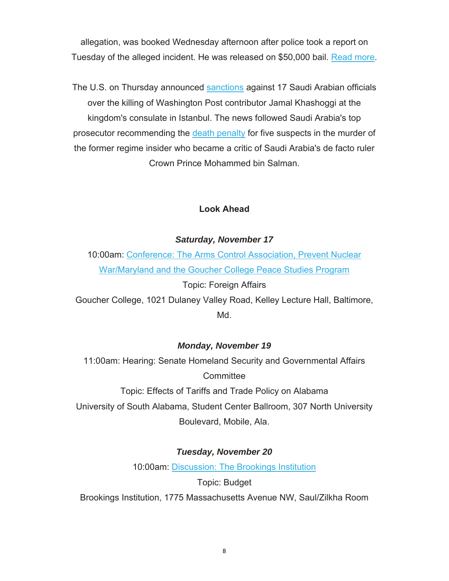allegation, was booked Wednesday afternoon after police took a report on Tuesday of the alleged incident. He was released on \$50,000 bail. Read more.

The U.S. on Thursday announced **sanctions** against 17 Saudi Arabian officials over the killing of Washington Post contributor Jamal Khashoggi at the kingdom's consulate in Istanbul. The news followed Saudi Arabia's top prosecutor recommending the death penalty for five suspects in the murder of the former regime insider who became a critic of Saudi Arabia's de facto ruler Crown Prince Mohammed bin Salman.

# **Look Ahead**

# *Saturday, November 17*

10:00am: Conference: The Arms Control Association, Prevent Nuclear War/Maryland and the Goucher College Peace Studies Program

Topic: Foreign Affairs

Goucher College, 1021 Dulaney Valley Road, Kelley Lecture Hall, Baltimore, Md.

# *Monday, November 19*

11:00am: Hearing: Senate Homeland Security and Governmental Affairs **Committee** 

Topic: Effects of Tariffs and Trade Policy on Alabama University of South Alabama, Student Center Ballroom, 307 North University Boulevard, Mobile, Ala.

# *Tuesday, November 20*

10:00am: Discussion: The Brookings Institution

Topic: Budget Brookings Institution, 1775 Massachusetts Avenue NW, Saul/Zilkha Room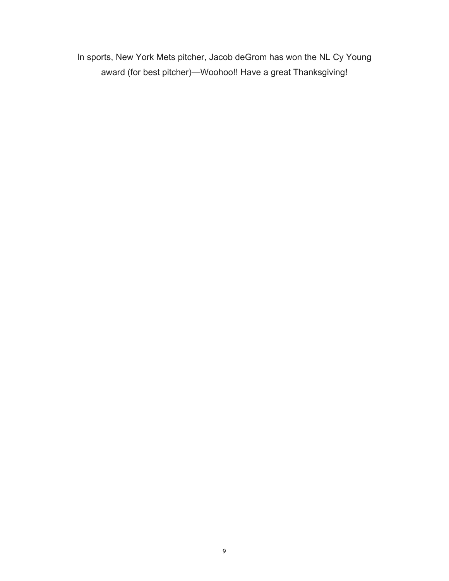In sports, New York Mets pitcher, Jacob deGrom has won the NL Cy Young award (for best pitcher)—Woohoo!! Have a great Thanksgiving!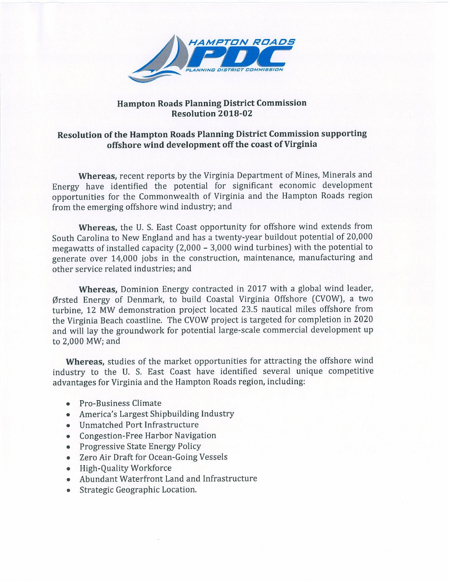

### **Hampton Roads Planning District Commission Resolution 2018-02**

# **Resolution of the Hampton Roads Planning District Commission supporting** offshore wind development off the coast of Virginia

Whereas, recent reports by the Virginia Department of Mines, Minerals and Energy have identified the potential for significant economic development opportunities for the Commonwealth of Virginia and the Hampton Roads region from the emerging offshore wind industry; and

Whereas, the U. S. East Coast opportunity for offshore wind extends from South Carolina to New England and has a twenty-year buildout potential of 20,000 megawatts of installed capacity (2,000 - 3,000 wind turbines) with the potential to generate over 14,000 jobs in the construction, maintenance, manufacturing and other service related industries; and

Whereas, Dominion Energy contracted in 2017 with a global wind leader, Ørsted Energy of Denmark, to build Coastal Virginia Offshore (CVOW), a two turbine, 12 MW demonstration project located 23.5 nautical miles offshore from the Virginia Beach coastline. The CVOW project is targeted for completion in 2020 and will lay the groundwork for potential large-scale commercial development up to 2,000 MW; and

Whereas, studies of the market opportunities for attracting the offshore wind industry to the U. S. East Coast have identified several unique competitive advantages for Virginia and the Hampton Roads region, including:

- Pro-Business Climate
- America's Largest Shipbuilding Industry
- Unmatched Port Infrastructure
- Congestion-Free Harbor Navigation
- Progressive State Energy Policy
- Zero Air Draft for Ocean-Going Vessels
- High-Quality Workforce
- Abundant Waterfront Land and Infrastructure
- Strategic Geographic Location.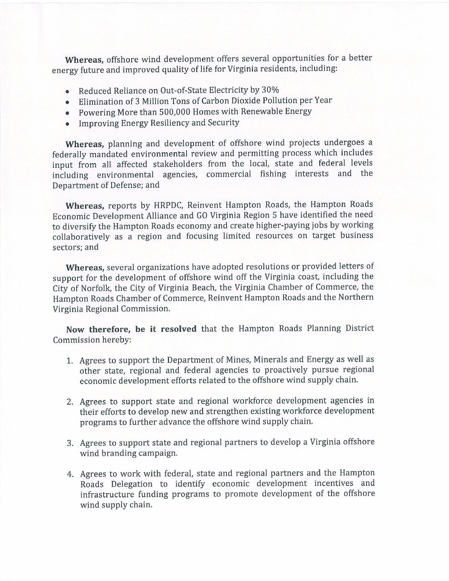Whereas, offshore wind development offers several opportunities for a better energy future and improved quality of life for Virginia residents, including:

- Reduced Reliance on Out-of-State Electricity by 30%
- Elimination of 3 Million Tons of Carbon Dioxide Pollution per Year
- Powering More than 500,000 Homes with Renewable Energy
- Improving Energy Resiliency and Security

Whereas, planning and development of offshore wind projects undergoes a federally mandated environmental review and permitting process which includes input from all affected stakeholders from the local, state and federal levels including environmental agencies, commercial fishing interests and the Department of Defense; and

Whereas, reports by HRPDC, Reinvent Hampton Roads, the Hampton Roads Economic Development Alliance and GO Virginia Region 5 have identified the need to diversify the Hampton Roads economy and create higher-paying jobs by working collaboratively as a region and focusing limited resources on target business sectors; and

Whereas, several organizations have adopted resolutions or provided letters of support for the development of offshore wind off the Virginia coast, including the City of Norfolk, the City of Virginia Beach, the Virginia Chamber of Commerce, the Hampton Roads Chamber of Commerce, Reinvent Hampton Roads and the Northern Virginia Regional Commission.

Now therefore, be it resolved that the Hampton Roads Planning District Commission hereby:

- 1. Agrees to support the Department of Mines, Minerals and Energy as well as other state, regional and federal agencies to proactively pursue regional economic development efforts related to the offshore wind supply chain.
- 2. Agrees to support state and regional workforce development agencies in their efforts to develop new and strengthen existing workforce development programs to further advance the offshore wind supply chain.
- 3. Agrees to support state and regional partners to develop a Virginia offshore wind branding campaign.
- 4. Agrees to work with federal, state and regional partners and the Hampton Roads Delegation to identify economic development incentives and infrastructure funding programs to promote development of the offshore wind supply chain.